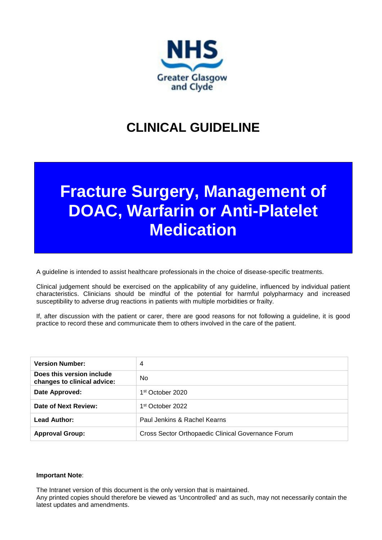

# **CLINICAL GUIDELINE**

# **Fracture Surgery, Management of DOAC, Warfarin or Anti-Platelet Medication**

A guideline is intended to assist healthcare professionals in the choice of disease-specific treatments.

Clinical judgement should be exercised on the applicability of any guideline, influenced by individual patient characteristics. Clinicians should be mindful of the potential for harmful polypharmacy and increased susceptibility to adverse drug reactions in patients with multiple morbidities or frailty.

If, after discussion with the patient or carer, there are good reasons for not following a guideline, it is good practice to record these and communicate them to others involved in the care of the patient.

| <b>Version Number:</b>                                   | 4                                                  |
|----------------------------------------------------------|----------------------------------------------------|
| Does this version include<br>changes to clinical advice: | <b>No</b>                                          |
| Date Approved:                                           | 1 <sup>st</sup> October 2020                       |
| Date of Next Review:                                     | 1 <sup>st</sup> October 2022                       |
| <b>Lead Author:</b>                                      | Paul Jenkins & Rachel Kearns                       |
| <b>Approval Group:</b>                                   | Cross Sector Orthopaedic Clinical Governance Forum |

#### **Important Note**:

The Intranet version of this document is the only version that is maintained.

Any printed copies should therefore be viewed as 'Uncontrolled' and as such, may not necessarily contain the latest updates and amendments.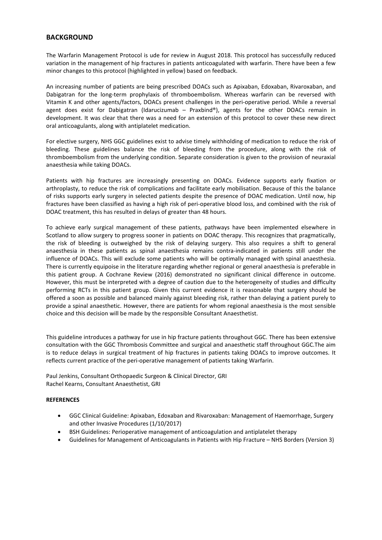#### **BACKGROUND**

The Warfarin Management Protocol is ude for review in August 2018. This protocol has successfully reduced variation in the management of hip fractures in patients anticoagulated with warfarin. There have been a few minor changes to this protocol (highlighted in yellow) based on feedback.

An increasing number of patients are being prescribed DOACs such as Apixaban, Edoxaban, Rivaroxaban, and Dabigatran for the long-term prophylaxis of thromboembolism. Whereas warfarin can be reversed with Vitamin K and other agents/factors, DOACs present challenges in the peri-operative period. While a reversal agent does exist for Dabigatran (Idarucizumab – Praxbind®), agents for the other DOACs remain in development. It was clear that there was a need for an extension of this protocol to cover these new direct oral anticoagulants, along with antiplatelet medication.

For elective surgery, NHS GGC guidelines exist to advise timely withholding of medication to reduce the risk of bleeding. These guidelines balance the risk of bleeding from the procedure, along with the risk of thromboembolism from the underlying condition. Separate consideration is given to the provision of neuraxial anaesthesia while taking DOACs.

Patients with hip fractures are increasingly presenting on DOACs. Evidence supports early fixation or arthroplasty, to reduce the risk of complications and facilitate early mobilisation. Because of this the balance of risks supports early surgery in selected patients despite the presence of DOAC medication. Until now, hip fractures have been classified as having a high risk of peri-operative blood loss, and combined with the risk of DOAC treatment, this has resulted in delays of greater than 48 hours.

To achieve early surgical management of these patients, pathways have been implemented elsewhere in Scotland to allow surgery to progress sooner in patients on DOAC therapy. This recognizes that pragmatically, the risk of bleeding is outweighed by the risk of delaying surgery. This also requires a shift to general anaesthesia in these patients as spinal anaesthesia remains contra-indicated in patients still under the influence of DOACs. This will exclude some patients who will be optimally managed with spinal anaesthesia. There is currently equipoise in the literature regarding whether regional or general anaesthesia is preferable in this patient group. A Cochrane Review (2016) demonstrated no significant clinical difference in outcome. However, this must be interpreted with a degree of caution due to the heterogeneity of studies and difficulty performing RCTs in this patient group. Given this current evidence it is reasonable that surgery should be offered a soon as possible and balanced mainly against bleeding risk, rather than delaying a patient purely to provide a spinal anaesthetic. However, there are patients for whom regional anaesthesia is the most sensible choice and this decision will be made by the responsible Consultant Anaesthetist.

This guideline introduces a pathway for use in hip fracture patients throughout GGC. There has been extensive consultation with the GGC Thrombosis Committee and surgical and anaesthetic staff throughout GGC.The aim is to reduce delays in surgical treatment of hip fractures in patients taking DOACs to improve outcomes. It reflects current practice of the peri-operative management of patients taking Warfarin.

Paul Jenkins, Consultant Orthopaedic Surgeon & Clinical Director, GRI Rachel Kearns, Consultant Anaesthetist, GRI

#### **REFERENCES**

- GGC Clinical Guideline: Apixaban, Edoxaban and Rivaroxaban: Management of Haemorrhage, Surgery and other Invasive Procedures (1/10/2017)
- BSH Guidelines: Perioperative management of anticoagulation and antiplatelet therapy
- Guidelines for Management of Anticoagulants in Patients with Hip Fracture NHS Borders (Version 3)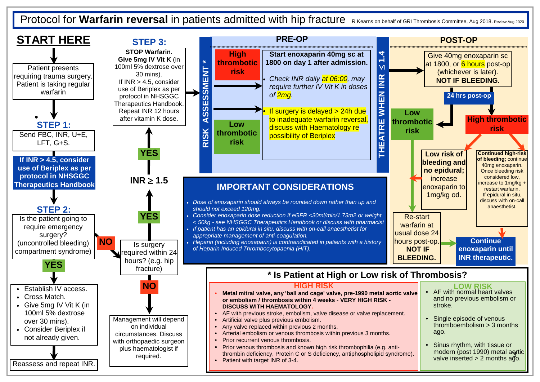Protocol for **Warfarin reversal** in patients admitted with hip fracture R Kearns on behalf of GRI Thrombosis Committee, Aug 2018. Review Aug 2020

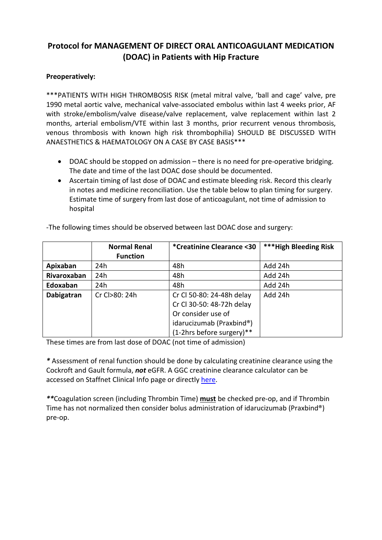## **Protocol for MANAGEMENT OF DIRECT ORAL ANTICOAGULANT MEDICATION (DOAC) in Patients with Hip Fracture**

#### **Preoperatively:**

\*\*\*PATIENTS WITH HIGH THROMBOSIS RISK (metal mitral valve, 'ball and cage' valve, pre 1990 metal aortic valve, mechanical valve-associated embolus within last 4 weeks prior, AF with stroke/embolism/valve disease/valve replacement, valve replacement within last 2 months, arterial embolism/VTE within last 3 months, prior recurrent venous thrombosis, venous thrombosis with known high risk thrombophilia) SHOULD BE DISCUSSED WITH ANAESTHETICS & HAEMATOLOGY ON A CASE BY CASE BASIS\*\*\*

- DOAC should be stopped on admission there is no need for pre-operative bridging. The date and time of the last DOAC dose should be documented.
- Ascertain timing of last dose of DOAC and estimate bleeding risk. Record this clearly in notes and medicine reconciliation. Use the table below to plan timing for surgery. Estimate time of surgery from last dose of anticoagulant, not time of admission to hospital

|                    | <b>Normal Renal</b><br><b>Function</b> | *Creatinine Clearance <30                                                                                                             | ***High Bleeding Risk |
|--------------------|----------------------------------------|---------------------------------------------------------------------------------------------------------------------------------------|-----------------------|
| Apixaban           | 24h                                    | 48h                                                                                                                                   | Add 24h               |
| <b>Rivaroxaban</b> | 24h                                    | 48h                                                                                                                                   | Add 24h               |
| Edoxaban           | 24h                                    | 48h                                                                                                                                   | Add 24h               |
| Dabigatran         | Cr Cl>80: 24h                          | Cr Cl 50-80: 24-48h delay<br>Cr Cl 30-50: 48-72h delay<br>Or consider use of<br>idarucizumab (Praxbind®)<br>(1-2hrs before surgery)** | Add 24h               |

-The following times should be observed between last DOAC dose and surgery:

These times are from last dose of DOAC (not time of admission)

*\** Assessment of renal function should be done by calculating creatinine clearance using the Cockroft and Gault formula, *not* eGFR. A GGC creatinine clearance calculator can be accessed on Staffnet Clinical Info page or directly [here.](http://www.staffnet.ggc.scot.nhs.uk/Clinical%20Info/Documents/CrCl%20Online%20Calculator%20-%20Locked%20-%20160930.xls)

*\*\**Coagulation screen (including Thrombin Time) **must** be checked pre-op, and if Thrombin Time has not normalized then consider bolus administration of idarucizumab (Praxbind®) pre-op.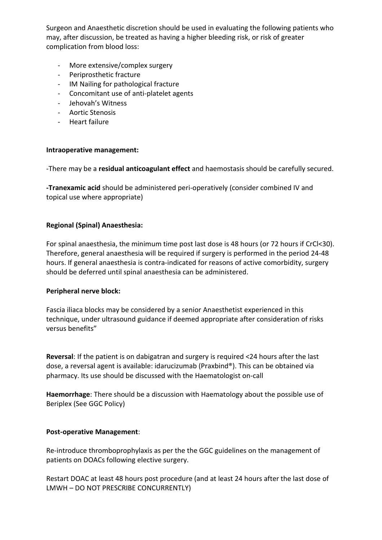Surgeon and Anaesthetic discretion should be used in evaluating the following patients who may, after discussion, be treated as having a higher bleeding risk, or risk of greater complication from blood loss:

- More extensive/complex surgery
- Periprosthetic fracture
- IM Nailing for pathological fracture
- Concomitant use of anti-platelet agents
- Jehovah's Witness
- Aortic Stenosis
- Heart failure

#### **Intraoperative management:**

-There may be a **residual anticoagulant effect** and haemostasis should be carefully secured.

**-Tranexamic acid** should be administered peri-operatively (consider combined IV and topical use where appropriate)

#### **Regional (Spinal) Anaesthesia:**

For spinal anaesthesia, the minimum time post last dose is 48 hours (or 72 hours if CrCl<30). Therefore, general anaesthesia will be required if surgery is performed in the period 24-48 hours. If general anaesthesia is contra-indicated for reasons of active comorbidity, surgery should be deferred until spinal anaesthesia can be administered.

#### **Peripheral nerve block:**

Fascia iliaca blocks may be considered by a senior Anaesthetist experienced in this technique, under ultrasound guidance if deemed appropriate after consideration of risks versus benefits"

**Reversal**: If the patient is on dabigatran and surgery is required <24 hours after the last dose, a reversal agent is available: idarucizumab (Praxbind®). This can be obtained via pharmacy. Its use should be discussed with the Haematologist on-call

**Haemorrhage**: There should be a discussion with Haematology about the possible use of Beriplex (See GGC Policy)

#### **Post-operative Management**:

Re-introduce thromboprophylaxis as per the the GGC guidelines on the management of patients on DOACs following elective surgery.

Restart DOAC at least 48 hours post procedure (and at least 24 hours after the last dose of LMWH – DO NOT PRESCRIBE CONCURRENTLY)